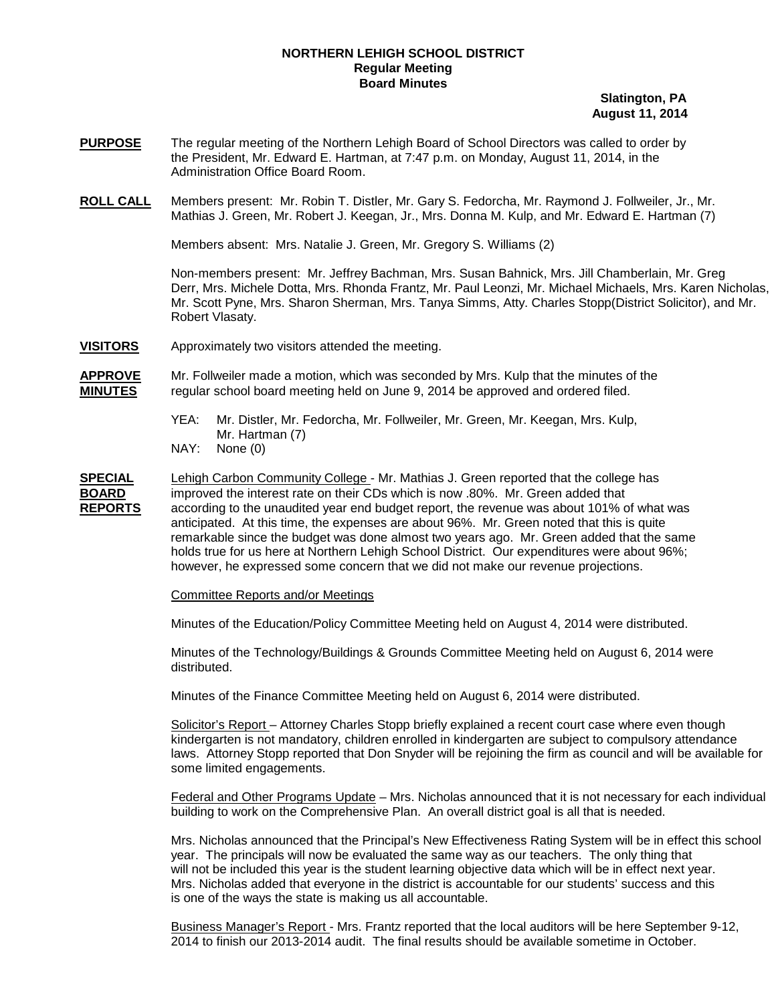## **NORTHERN LEHIGH SCHOOL DISTRICT Regular Meeting Board Minutes**

 **Slatington, PA August 11, 2014**

- **PURPOSE** The regular meeting of the Northern Lehigh Board of School Directors was called to order by the President, Mr. Edward E. Hartman, at 7:47 p.m. on Monday, August 11, 2014, in the Administration Office Board Room.
- **ROLL CALL** Members present: Mr. Robin T. Distler, Mr. Gary S. Fedorcha, Mr. Raymond J. Follweiler, Jr., Mr. Mathias J. Green, Mr. Robert J. Keegan, Jr., Mrs. Donna M. Kulp, and Mr. Edward E. Hartman (7)

Members absent: Mrs. Natalie J. Green, Mr. Gregory S. Williams (2)

Non-members present: Mr. Jeffrey Bachman, Mrs. Susan Bahnick, Mrs. Jill Chamberlain, Mr. Greg Derr, Mrs. Michele Dotta, Mrs. Rhonda Frantz, Mr. Paul Leonzi, Mr. Michael Michaels, Mrs. Karen Nicholas, Mr. Scott Pyne, Mrs. Sharon Sherman, Mrs. Tanya Simms, Atty. Charles Stopp(District Solicitor), and Mr. Robert Vlasaty.

**VISITORS** Approximately two visitors attended the meeting.

**APPROVE** Mr. Follweiler made a motion, which was seconded by Mrs. Kulp that the minutes of the **MINUTES** regular school board meeting held on June 9, 2014 be approved and ordered filed.

- YEA: Mr. Distler, Mr. Fedorcha, Mr. Follweiler, Mr. Green, Mr. Keegan, Mrs. Kulp, Mr. Hartman (7)
- NAY: None (0)

**SPECIAL** Lehigh Carbon Community College - Mr. Mathias J. Green reported that the college has **BOARD** improved the interest rate on their CDs which is now .80%. Mr. Green added that **REPORTS** remarkable since the budget was done almost two years ago. Mr. Green added that the same holds true for us here at Northern Lehigh School District. Our expenditures were about 96%; however, he expressed some concern that we did not make our revenue projections. according to the unaudited year end budget report, the revenue was about 101% of what was anticipated. At this time, the expenses are about 96%. Mr. Green noted that this is quite

Committee Reports and/or Meetings

Minutes of the Education/Policy Committee Meeting held on August 4, 2014 were distributed.

Minutes of the Technology/Buildings & Grounds Committee Meeting held on August 6, 2014 were distributed.

Minutes of the Finance Committee Meeting held on August 6, 2014 were distributed.

Solicitor's Report – Attorney Charles Stopp briefly explained a recent court case where even though kindergarten is not mandatory, children enrolled in kindergarten are subject to compulsory attendance laws. Attorney Stopp reported that Don Snyder will be rejoining the firm as council and will be available for some limited engagements.

Federal and Other Programs Update – Mrs. Nicholas announced that it is not necessary for each individual building to work on the Comprehensive Plan. An overall district goal is all that is needed.

Mrs. Nicholas announced that the Principal's New Effectiveness Rating System will be in effect this school year. The principals will now be evaluated the same way as our teachers. The only thing that will not be included this year is the student learning objective data which will be in effect next year. Mrs. Nicholas added that everyone in the district is accountable for our students' success and this is one of the ways the state is making us all accountable.

Business Manager's Report - Mrs. Frantz reported that the local auditors will be here September 9-12, 2014 to finish our 2013-2014 audit. The final results should be available sometime in October.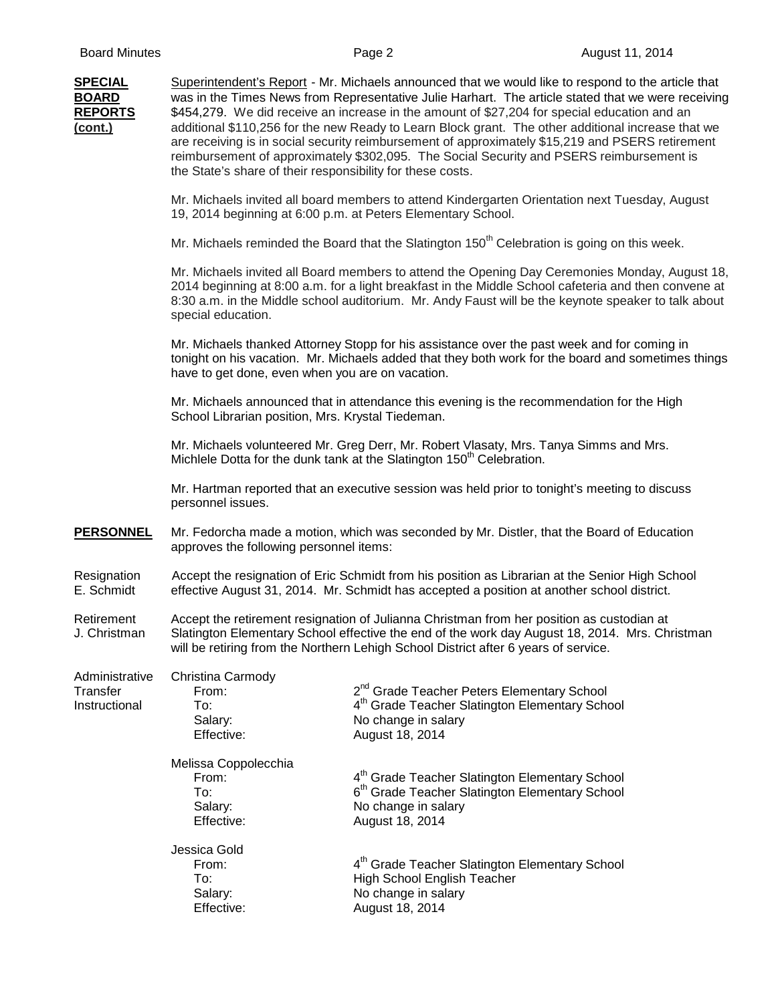| <b>SPECIAL</b><br><b>BOARD</b><br><b>REPORTS</b><br>(cont.) | the State's share of their responsibility for these costs.    | Superintendent's Report - Mr. Michaels announced that we would like to respond to the article that<br>was in the Times News from Representative Julie Harhart. The article stated that we were receiving<br>\$454,279. We did receive an increase in the amount of \$27,204 for special education and an<br>additional \$110,256 for the new Ready to Learn Block grant. The other additional increase that we<br>are receiving is in social security reimbursement of approximately \$15,219 and PSERS retirement<br>reimbursement of approximately \$302,095. The Social Security and PSERS reimbursement is |
|-------------------------------------------------------------|---------------------------------------------------------------|----------------------------------------------------------------------------------------------------------------------------------------------------------------------------------------------------------------------------------------------------------------------------------------------------------------------------------------------------------------------------------------------------------------------------------------------------------------------------------------------------------------------------------------------------------------------------------------------------------------|
|                                                             | 19, 2014 beginning at 6:00 p.m. at Peters Elementary School.  | Mr. Michaels invited all board members to attend Kindergarten Orientation next Tuesday, August                                                                                                                                                                                                                                                                                                                                                                                                                                                                                                                 |
|                                                             |                                                               | Mr. Michaels reminded the Board that the Slatington 150 <sup>th</sup> Celebration is going on this week.                                                                                                                                                                                                                                                                                                                                                                                                                                                                                                       |
|                                                             | special education.                                            | Mr. Michaels invited all Board members to attend the Opening Day Ceremonies Monday, August 18,<br>2014 beginning at 8:00 a.m. for a light breakfast in the Middle School cafeteria and then convene at<br>8:30 a.m. in the Middle school auditorium. Mr. Andy Faust will be the keynote speaker to talk about                                                                                                                                                                                                                                                                                                  |
|                                                             | have to get done, even when you are on vacation.              | Mr. Michaels thanked Attorney Stopp for his assistance over the past week and for coming in<br>tonight on his vacation. Mr. Michaels added that they both work for the board and sometimes things                                                                                                                                                                                                                                                                                                                                                                                                              |
|                                                             | School Librarian position, Mrs. Krystal Tiedeman.             | Mr. Michaels announced that in attendance this evening is the recommendation for the High                                                                                                                                                                                                                                                                                                                                                                                                                                                                                                                      |
|                                                             |                                                               | Mr. Michaels volunteered Mr. Greg Derr, Mr. Robert Vlasaty, Mrs. Tanya Simms and Mrs.<br>Michlele Dotta for the dunk tank at the Slatington 150 <sup>th</sup> Celebration.                                                                                                                                                                                                                                                                                                                                                                                                                                     |
|                                                             | personnel issues.                                             | Mr. Hartman reported that an executive session was held prior to tonight's meeting to discuss                                                                                                                                                                                                                                                                                                                                                                                                                                                                                                                  |
| <b>PERSONNEL</b>                                            | approves the following personnel items:                       | Mr. Fedorcha made a motion, which was seconded by Mr. Distler, that the Board of Education                                                                                                                                                                                                                                                                                                                                                                                                                                                                                                                     |
| Resignation<br>E. Schmidt                                   |                                                               | Accept the resignation of Eric Schmidt from his position as Librarian at the Senior High School<br>effective August 31, 2014. Mr. Schmidt has accepted a position at another school district.                                                                                                                                                                                                                                                                                                                                                                                                                  |
| Retirement<br>J. Christman                                  |                                                               | Accept the retirement resignation of Julianna Christman from her position as custodian at<br>Slatington Elementary School effective the end of the work day August 18, 2014. Mrs. Christman<br>will be retiring from the Northern Lehigh School District after 6 years of service.                                                                                                                                                                                                                                                                                                                             |
| Administrative<br>Transfer<br>Instructional                 | Christina Carmody<br>From:<br>To:<br>Salary:<br>Effective:    | 2 <sup>nd</sup> Grade Teacher Peters Elementary School<br>4 <sup>th</sup> Grade Teacher Slatington Elementary School<br>No change in salary<br>August 18, 2014                                                                                                                                                                                                                                                                                                                                                                                                                                                 |
|                                                             | Melissa Coppolecchia<br>From:<br>To:<br>Salary:<br>Effective: | 4 <sup>th</sup> Grade Teacher Slatington Elementary School<br>6 <sup>th</sup> Grade Teacher Slatington Elementary School<br>No change in salary<br>August 18, 2014                                                                                                                                                                                                                                                                                                                                                                                                                                             |
|                                                             | Jessica Gold<br>From:<br>To:<br>Salary:<br>Effective:         | 4 <sup>th</sup> Grade Teacher Slatington Elementary School<br><b>High School English Teacher</b><br>No change in salary<br>August 18, 2014                                                                                                                                                                                                                                                                                                                                                                                                                                                                     |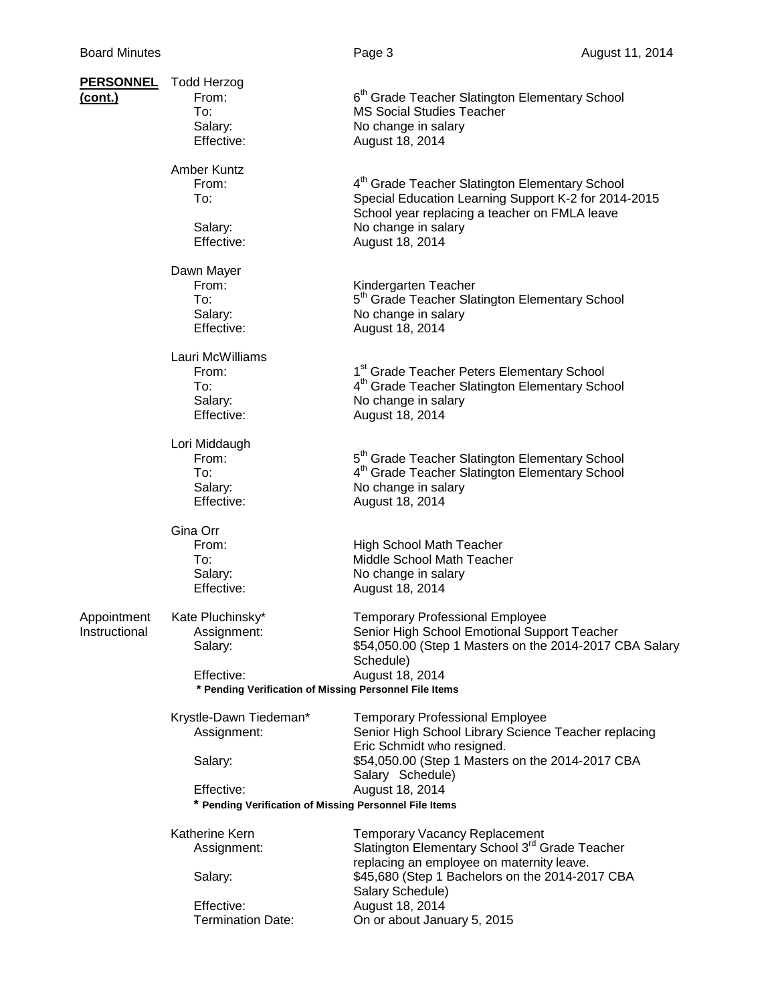| <u>PERSONNEL</u><br>(cont.)  | <b>Todd Herzog</b><br>From:<br>To:<br>Salary:<br>Effective:          | 6 <sup>th</sup> Grade Teacher Slatington Elementary School<br><b>MS Social Studies Teacher</b><br>No change in salary<br>August 18, 2014                                                                      |
|------------------------------|----------------------------------------------------------------------|---------------------------------------------------------------------------------------------------------------------------------------------------------------------------------------------------------------|
|                              | <b>Amber Kuntz</b><br>From:<br>To:<br>Salary:<br>Effective:          | 4 <sup>th</sup> Grade Teacher Slatington Elementary School<br>Special Education Learning Support K-2 for 2014-2015<br>School year replacing a teacher on FMLA leave<br>No change in salary<br>August 18, 2014 |
|                              | Dawn Mayer<br>From:<br>To:<br>Salary:<br>Effective:                  | Kindergarten Teacher<br>5 <sup>th</sup> Grade Teacher Slatington Elementary School<br>No change in salary<br>August 18, 2014                                                                                  |
|                              | Lauri McWilliams<br>From:<br>To:<br>Salary:<br>Effective:            | 1 <sup>st</sup> Grade Teacher Peters Elementary School<br>4 <sup>th</sup> Grade Teacher Slatington Elementary School<br>No change in salary<br>August 18, 2014                                                |
|                              | Lori Middaugh<br>From:<br>To:<br>Salary:<br>Effective:               | 5 <sup>th</sup> Grade Teacher Slatington Elementary School<br>4 <sup>th</sup> Grade Teacher Slatington Elementary School<br>No change in salary<br>August 18, 2014                                            |
|                              | Gina Orr<br>From:<br>To:<br>Salary:<br>Effective:                    | <b>High School Math Teacher</b><br>Middle School Math Teacher<br>No change in salary<br>August 18, 2014                                                                                                       |
| Appointment<br>Instructional | Kate Pluchinsky*<br>Assignment:<br>Salary:                           | <b>Temporary Professional Employee</b><br>Senior High School Emotional Support Teacher<br>\$54,050.00 (Step 1 Masters on the 2014-2017 CBA Salary<br>Schedule)                                                |
|                              | Effective:<br>* Pending Verification of Missing Personnel File Items | August 18, 2014                                                                                                                                                                                               |
|                              | Krystle-Dawn Tiedeman*<br>Assignment:                                | <b>Temporary Professional Employee</b><br>Senior High School Library Science Teacher replacing<br>Eric Schmidt who resigned.                                                                                  |
|                              | Salary:                                                              | \$54,050.00 (Step 1 Masters on the 2014-2017 CBA<br>Salary Schedule)                                                                                                                                          |
|                              | Effective:<br>* Pending Verification of Missing Personnel File Items | August 18, 2014                                                                                                                                                                                               |
|                              | Katherine Kern<br>Assignment:                                        | <b>Temporary Vacancy Replacement</b><br>Slatington Elementary School 3 <sup>rd</sup> Grade Teacher                                                                                                            |
|                              | Salary:                                                              | replacing an employee on maternity leave.<br>\$45,680 (Step 1 Bachelors on the 2014-2017 CBA<br>Salary Schedule)                                                                                              |
|                              | Effective:<br><b>Termination Date:</b>                               | August 18, 2014<br>On or about January 5, 2015                                                                                                                                                                |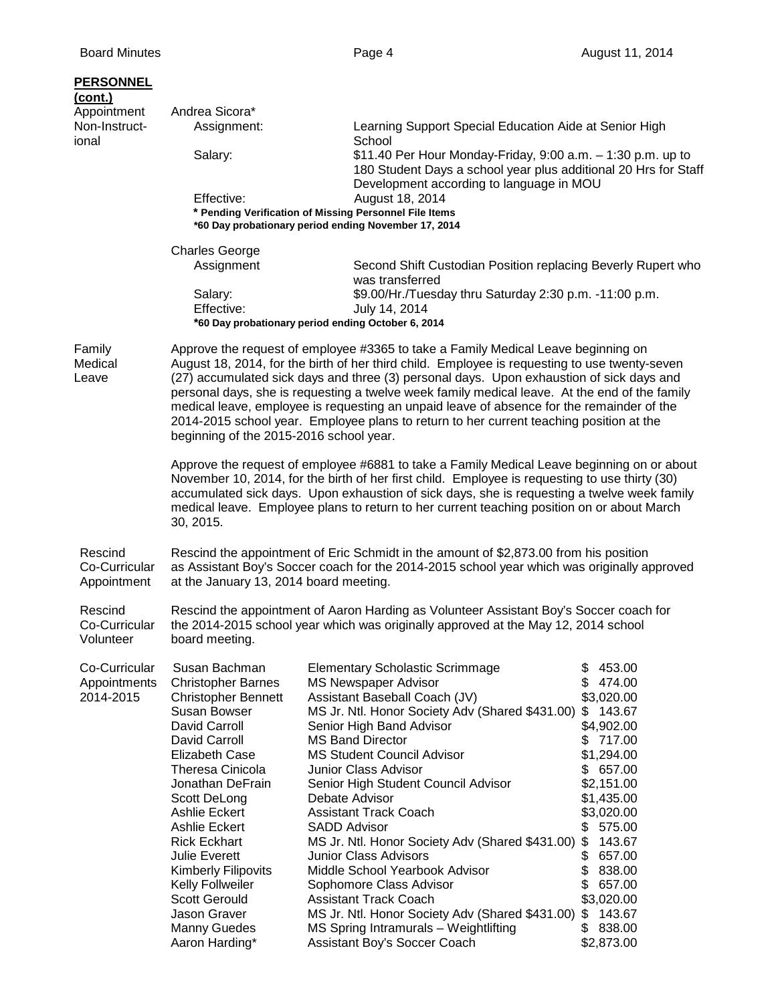| Appointment<br>Andrea Sicora*<br>Non-Instruct-<br>Learning Support Special Education Aide at Senior High<br>Assignment:<br>School<br>ional                                                                                                                                                                                                                                                                                                                                                                                                                                                                                                       |  |
|--------------------------------------------------------------------------------------------------------------------------------------------------------------------------------------------------------------------------------------------------------------------------------------------------------------------------------------------------------------------------------------------------------------------------------------------------------------------------------------------------------------------------------------------------------------------------------------------------------------------------------------------------|--|
|                                                                                                                                                                                                                                                                                                                                                                                                                                                                                                                                                                                                                                                  |  |
| \$11.40 Per Hour Monday-Friday, 9:00 a.m. - 1:30 p.m. up to<br>Salary:<br>180 Student Days a school year plus additional 20 Hrs for Staff<br>Development according to language in MOU                                                                                                                                                                                                                                                                                                                                                                                                                                                            |  |
| Effective:<br>August 18, 2014<br>* Pending Verification of Missing Personnel File Items<br>*60 Day probationary period ending November 17, 2014                                                                                                                                                                                                                                                                                                                                                                                                                                                                                                  |  |
| <b>Charles George</b>                                                                                                                                                                                                                                                                                                                                                                                                                                                                                                                                                                                                                            |  |
| Assignment<br>Second Shift Custodian Position replacing Beverly Rupert who<br>was transferred                                                                                                                                                                                                                                                                                                                                                                                                                                                                                                                                                    |  |
| Salary:<br>\$9.00/Hr./Tuesday thru Saturday 2:30 p.m. -11:00 p.m.<br>Effective:<br>July 14, 2014                                                                                                                                                                                                                                                                                                                                                                                                                                                                                                                                                 |  |
| *60 Day probationary period ending October 6, 2014                                                                                                                                                                                                                                                                                                                                                                                                                                                                                                                                                                                               |  |
| Family<br>Approve the request of employee #3365 to take a Family Medical Leave beginning on<br>August 18, 2014, for the birth of her third child. Employee is requesting to use twenty-seven<br>Medical<br>(27) accumulated sick days and three (3) personal days. Upon exhaustion of sick days and<br>Leave<br>personal days, she is requesting a twelve week family medical leave. At the end of the family<br>medical leave, employee is requesting an unpaid leave of absence for the remainder of the<br>2014-2015 school year. Employee plans to return to her current teaching position at the<br>beginning of the 2015-2016 school year. |  |
| Approve the request of employee #6881 to take a Family Medical Leave beginning on or about<br>November 10, 2014, for the birth of her first child. Employee is requesting to use thirty (30)<br>accumulated sick days. Upon exhaustion of sick days, she is requesting a twelve week family<br>medical leave. Employee plans to return to her current teaching position on or about March<br>30, 2015.                                                                                                                                                                                                                                           |  |
| Rescind the appointment of Eric Schmidt in the amount of \$2,873.00 from his position<br>Rescind<br>as Assistant Boy's Soccer coach for the 2014-2015 school year which was originally approved<br>Co-Curricular<br>Appointment<br>at the January 13, 2014 board meeting.                                                                                                                                                                                                                                                                                                                                                                        |  |
| Rescind<br>Rescind the appointment of Aaron Harding as Volunteer Assistant Boy's Soccer coach for<br>the 2014-2015 school year which was originally approved at the May 12, 2014 school<br>Co-Curricular<br>Volunteer<br>board meeting.                                                                                                                                                                                                                                                                                                                                                                                                          |  |
| Co-Curricular<br>Susan Bachman<br>\$<br>453.00<br><b>Elementary Scholastic Scrimmage</b><br><b>MS Newspaper Advisor</b><br>\$<br>474.00<br>Appointments<br><b>Christopher Barnes</b>                                                                                                                                                                                                                                                                                                                                                                                                                                                             |  |
| 2014-2015<br>Assistant Baseball Coach (JV)<br><b>Christopher Bennett</b><br>\$3,020.00                                                                                                                                                                                                                                                                                                                                                                                                                                                                                                                                                           |  |
| Susan Bowser<br>MS Jr. Ntl. Honor Society Adv (Shared \$431.00)<br>\$143.67<br>David Carroll<br>Senior High Band Advisor<br>\$4,902.00                                                                                                                                                                                                                                                                                                                                                                                                                                                                                                           |  |
| <b>MS Band Director</b><br>\$717.00<br>David Carroll                                                                                                                                                                                                                                                                                                                                                                                                                                                                                                                                                                                             |  |
| <b>Elizabeth Case</b><br><b>MS Student Council Advisor</b><br>\$1,294.00                                                                                                                                                                                                                                                                                                                                                                                                                                                                                                                                                                         |  |
| <b>Theresa Cinicola</b><br>Junior Class Advisor<br>\$657.00                                                                                                                                                                                                                                                                                                                                                                                                                                                                                                                                                                                      |  |
| \$2,151.00<br>Jonathan DeFrain<br>Senior High Student Council Advisor<br>\$1,435.00<br>Scott DeLong<br>Debate Advisor                                                                                                                                                                                                                                                                                                                                                                                                                                                                                                                            |  |
| <b>Assistant Track Coach</b><br>\$3,020.00<br>Ashlie Eckert                                                                                                                                                                                                                                                                                                                                                                                                                                                                                                                                                                                      |  |
| \$<br>575.00<br>Ashlie Eckert<br><b>SADD Advisor</b>                                                                                                                                                                                                                                                                                                                                                                                                                                                                                                                                                                                             |  |
| MS Jr. Ntl. Honor Society Adv (Shared \$431.00)<br>\$<br>143.67<br><b>Rick Eckhart</b>                                                                                                                                                                                                                                                                                                                                                                                                                                                                                                                                                           |  |
| <b>Junior Class Advisors</b><br>\$<br>657.00<br>Julie Everett<br>Middle School Yearbook Advisor                                                                                                                                                                                                                                                                                                                                                                                                                                                                                                                                                  |  |
| \$<br><b>Kimberly Filipovits</b><br>838.00<br>\$<br>Kelly Follweiler<br>Sophomore Class Advisor<br>657.00                                                                                                                                                                                                                                                                                                                                                                                                                                                                                                                                        |  |
| <b>Scott Gerould</b><br><b>Assistant Track Coach</b><br>\$3,020.00                                                                                                                                                                                                                                                                                                                                                                                                                                                                                                                                                                               |  |
| Jason Graver<br>MS Jr. Ntl. Honor Society Adv (Shared \$431.00)<br>143.67<br>\$                                                                                                                                                                                                                                                                                                                                                                                                                                                                                                                                                                  |  |
| <b>Manny Guedes</b><br>MS Spring Intramurals - Weightlifting<br>\$<br>838.00<br>Aaron Harding*<br>Assistant Boy's Soccer Coach<br>\$2,873.00                                                                                                                                                                                                                                                                                                                                                                                                                                                                                                     |  |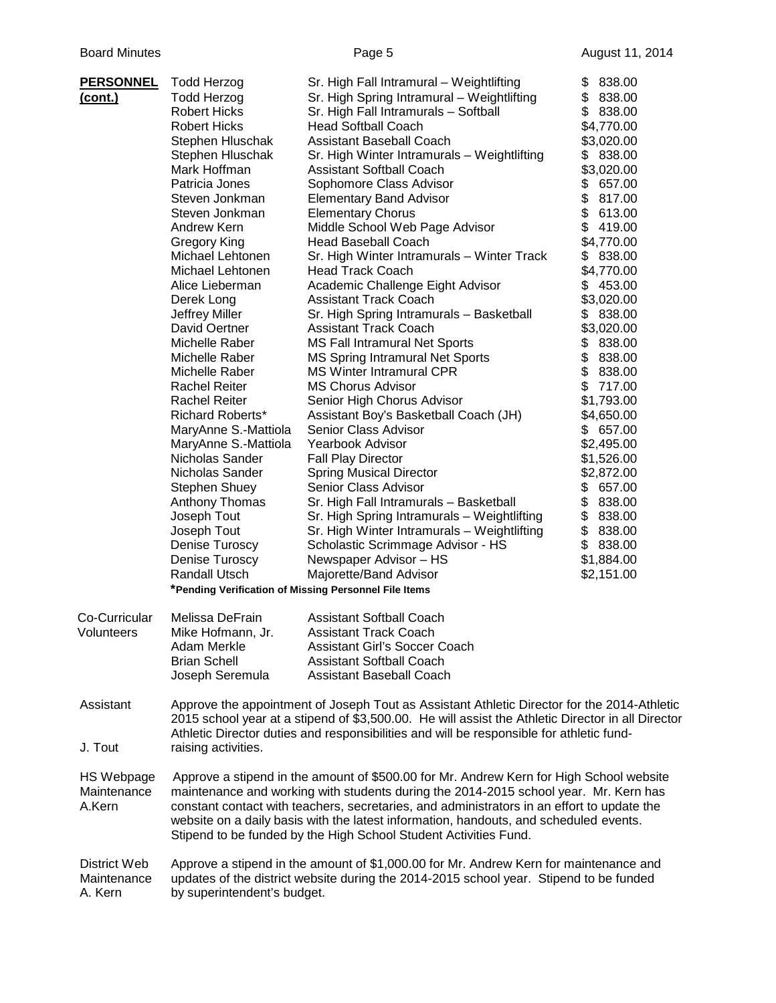| <b>PERSONNEL</b><br><u>(cont.)</u>         | <b>Todd Herzog</b><br><b>Todd Herzog</b><br><b>Robert Hicks</b><br><b>Robert Hicks</b><br>Stephen Hluschak<br>Stephen Hluschak<br>Mark Hoffman<br>Patricia Jones<br>Steven Jonkman<br>Steven Jonkman<br>Andrew Kern<br><b>Gregory King</b><br>Michael Lehtonen<br>Michael Lehtonen<br>Alice Lieberman<br>Derek Long<br>Jeffrey Miller<br>David Oertner<br>Michelle Raber<br>Michelle Raber<br>Michelle Raber<br><b>Rachel Reiter</b><br><b>Rachel Reiter</b><br><b>Richard Roberts*</b><br>MaryAnne S.-Mattiola<br>MaryAnne S.-Mattiola<br>Nicholas Sander<br>Nicholas Sander<br>Stephen Shuey<br>Anthony Thomas<br>Joseph Tout<br>Joseph Tout<br>Denise Turoscy | Sr. High Fall Intramural - Weightlifting<br>Sr. High Spring Intramural - Weightlifting<br>Sr. High Fall Intramurals - Softball<br><b>Head Softball Coach</b><br>Assistant Baseball Coach<br>Sr. High Winter Intramurals - Weightlifting<br><b>Assistant Softball Coach</b><br>Sophomore Class Advisor<br><b>Elementary Band Advisor</b><br><b>Elementary Chorus</b><br>Middle School Web Page Advisor<br><b>Head Baseball Coach</b><br>Sr. High Winter Intramurals - Winter Track<br><b>Head Track Coach</b><br>Academic Challenge Eight Advisor<br><b>Assistant Track Coach</b><br>Sr. High Spring Intramurals - Basketball<br><b>Assistant Track Coach</b><br><b>MS Fall Intramural Net Sports</b><br><b>MS Spring Intramural Net Sports</b><br><b>MS Winter Intramural CPR</b><br><b>MS Chorus Advisor</b><br>Senior High Chorus Advisor<br>Assistant Boy's Basketball Coach (JH)<br>Senior Class Advisor<br>Yearbook Advisor<br><b>Fall Play Director</b><br><b>Spring Musical Director</b><br>Senior Class Advisor<br>Sr. High Fall Intramurals - Basketball<br>Sr. High Spring Intramurals - Weightlifting<br>Sr. High Winter Intramurals - Weightlifting<br>Scholastic Scrimmage Advisor - HS | \$<br>838.00<br>838.00<br>\$<br>\$<br>838.00<br>\$4,770.00<br>\$3,020.00<br>\$838.00<br>\$3,020.00<br>\$657.00<br>\$817.00<br>\$613.00<br>\$<br>419.00<br>\$4,770.00<br>\$<br>838.00<br>\$4,770.00<br>453.00<br>\$<br>\$3,020.00<br>838.00<br>\$<br>\$3,020.00<br>\$ 838.00<br>\$838.00<br>\$<br>838.00<br>\$<br>717.00<br>\$1,793.00<br>\$4,650.00<br>\$657.00<br>\$2,495.00<br>\$1,526.00<br>\$2,872.00<br>\$<br>657.00<br>\$838.00<br>\$838.00<br>\$838.00<br>\$<br>838.00 |
|--------------------------------------------|------------------------------------------------------------------------------------------------------------------------------------------------------------------------------------------------------------------------------------------------------------------------------------------------------------------------------------------------------------------------------------------------------------------------------------------------------------------------------------------------------------------------------------------------------------------------------------------------------------------------------------------------------------------|------------------------------------------------------------------------------------------------------------------------------------------------------------------------------------------------------------------------------------------------------------------------------------------------------------------------------------------------------------------------------------------------------------------------------------------------------------------------------------------------------------------------------------------------------------------------------------------------------------------------------------------------------------------------------------------------------------------------------------------------------------------------------------------------------------------------------------------------------------------------------------------------------------------------------------------------------------------------------------------------------------------------------------------------------------------------------------------------------------------------------------------------------------------------------------------------------|-------------------------------------------------------------------------------------------------------------------------------------------------------------------------------------------------------------------------------------------------------------------------------------------------------------------------------------------------------------------------------------------------------------------------------------------------------------------------------|
|                                            | Denise Turoscy<br><b>Randall Utsch</b>                                                                                                                                                                                                                                                                                                                                                                                                                                                                                                                                                                                                                           | Newspaper Advisor - HS<br>Majorette/Band Advisor<br>*Pending Verification of Missing Personnel File Items                                                                                                                                                                                                                                                                                                                                                                                                                                                                                                                                                                                                                                                                                                                                                                                                                                                                                                                                                                                                                                                                                            | \$1,884.00<br>\$2,151.00                                                                                                                                                                                                                                                                                                                                                                                                                                                      |
| Co-Curricular                              | Melissa DeFrain                                                                                                                                                                                                                                                                                                                                                                                                                                                                                                                                                                                                                                                  | <b>Assistant Softball Coach</b>                                                                                                                                                                                                                                                                                                                                                                                                                                                                                                                                                                                                                                                                                                                                                                                                                                                                                                                                                                                                                                                                                                                                                                      |                                                                                                                                                                                                                                                                                                                                                                                                                                                                               |
| Volunteers                                 | Mike Hofmann, Jr.<br>Adam Merkle<br><b>Brian Schell</b><br>Joseph Seremula                                                                                                                                                                                                                                                                                                                                                                                                                                                                                                                                                                                       | <b>Assistant Track Coach</b><br><b>Assistant Girl's Soccer Coach</b><br><b>Assistant Softball Coach</b><br><b>Assistant Baseball Coach</b>                                                                                                                                                                                                                                                                                                                                                                                                                                                                                                                                                                                                                                                                                                                                                                                                                                                                                                                                                                                                                                                           |                                                                                                                                                                                                                                                                                                                                                                                                                                                                               |
| Assistant<br>J. Tout                       | raising activities.                                                                                                                                                                                                                                                                                                                                                                                                                                                                                                                                                                                                                                              | Approve the appointment of Joseph Tout as Assistant Athletic Director for the 2014-Athletic<br>2015 school year at a stipend of \$3,500.00. He will assist the Athletic Director in all Director<br>Athletic Director duties and responsibilities and will be responsible for athletic fund-                                                                                                                                                                                                                                                                                                                                                                                                                                                                                                                                                                                                                                                                                                                                                                                                                                                                                                         |                                                                                                                                                                                                                                                                                                                                                                                                                                                                               |
| <b>HS Webpage</b><br>Maintenance<br>A.Kern |                                                                                                                                                                                                                                                                                                                                                                                                                                                                                                                                                                                                                                                                  | Approve a stipend in the amount of \$500.00 for Mr. Andrew Kern for High School website<br>maintenance and working with students during the 2014-2015 school year. Mr. Kern has<br>constant contact with teachers, secretaries, and administrators in an effort to update the<br>website on a daily basis with the latest information, handouts, and scheduled events.<br>Stipend to be funded by the High School Student Activities Fund.                                                                                                                                                                                                                                                                                                                                                                                                                                                                                                                                                                                                                                                                                                                                                           |                                                                                                                                                                                                                                                                                                                                                                                                                                                                               |
| District Web<br>Maintenance<br>A. Kern     | by superintendent's budget.                                                                                                                                                                                                                                                                                                                                                                                                                                                                                                                                                                                                                                      | Approve a stipend in the amount of \$1,000.00 for Mr. Andrew Kern for maintenance and<br>updates of the district website during the 2014-2015 school year. Stipend to be funded                                                                                                                                                                                                                                                                                                                                                                                                                                                                                                                                                                                                                                                                                                                                                                                                                                                                                                                                                                                                                      |                                                                                                                                                                                                                                                                                                                                                                                                                                                                               |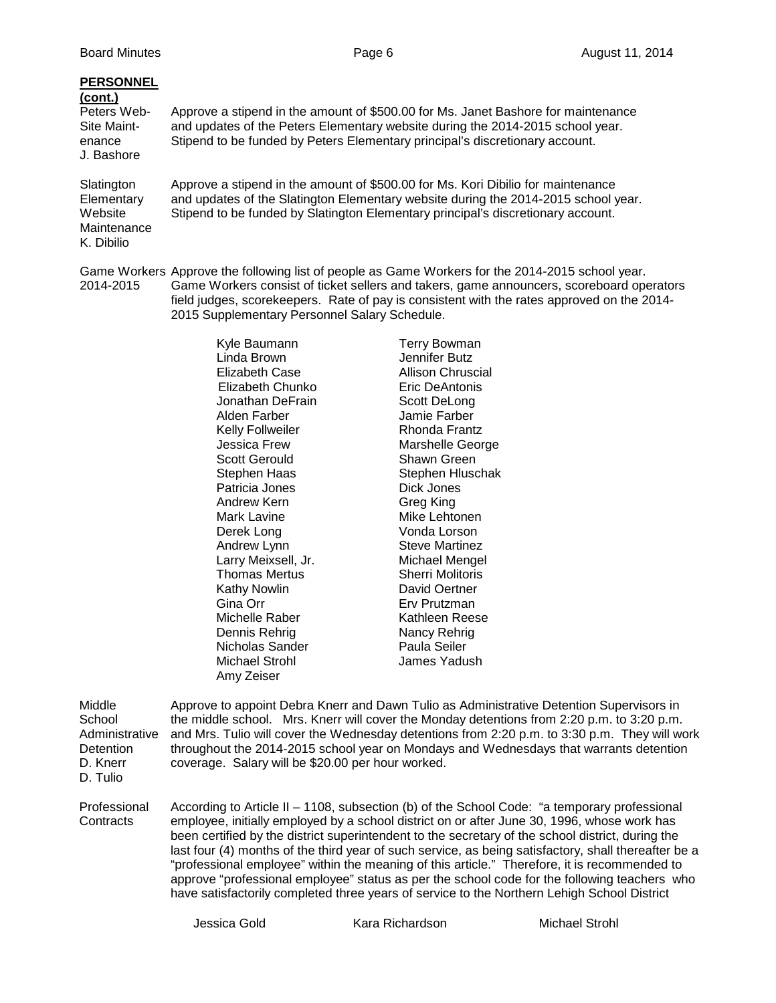| <b>PERSONNEL</b><br>(cont.)<br>Peters Web-<br>Site Maint-<br>enance<br>J. Bashore | Approve a stipend in the amount of \$500.00 for Ms. Janet Bashore for maintenance<br>and updates of the Peters Elementary website during the 2014-2015 school year.<br>Stipend to be funded by Peters Elementary principal's discretionary account.                                        |
|-----------------------------------------------------------------------------------|--------------------------------------------------------------------------------------------------------------------------------------------------------------------------------------------------------------------------------------------------------------------------------------------|
| Slatington<br>Elementary<br>Website<br>Maintenance<br>K. Dibilio                  | Approve a stipend in the amount of \$500.00 for Ms. Kori Dibilio for maintenance<br>and updates of the Slatington Elementary website during the 2014-2015 school year.<br>Stipend to be funded by Slatington Elementary principal's discretionary account.                                 |
| 2014-2015                                                                         | Game Workers Approve the following list of people as Game Workers for the 2014-2015 school year.<br>Game Workers consist of ticket sellers and takers, game announcers, scoreboard operators<br>field judges, scorekeepers. Rate of pay is consistent with the rates approved on the 2014- |

Kyle Baumann Terry Bowman Linda Brown Jennifer Butz Elizabeth Case Allison Chruscial Elizabeth Chunko Eric DeAntonis Jonathan DeFrain Scott DeLong<br>Alden Farber Samie Farber Jamie Farber Kelly Follweiler **Rhonda Frantz** Jessica Frew Marshelle George<br>
Scott Gerould Shawn Green Scott Gerould<br>
Stephen Haas<br>
Stephen Hluso Stephen Hluschak<br>Dick Jones Patricia Jones Dick Jones Andrew Kern<br>Mark Lavine Mike Lehtonen Derek Long Nonda Lorson<br>Andrew Lynn North Cheve Martinez Andrew Lynn<br>
Larry Meixsell, Jr. Michael Mengel Larry Meixsell, Jr. Thomas Mertus **Sherri Molitoris** Kathy Nowlin **Carlo David Oertner**<br>Gina Orr **David Orthograph** Erv Prutzman Erv Prutzman Michelle Raber **Kathleen Reese**<br>1991 - Dennis Rehrig Kancy Rehrig Dennis Rehrig Nancy Rehrig Nancy Rehrig Nancy Rehrig Nancy Rehrig Nancy Rehright Nancy Rehright Nancy Rehright <br>
Nancy Raula Seiler Nancy Reuter States Nancy Rehright Nancy Rehright Nancy Rehright Nancy Rehright Nancy Rehr Nicholas Sander Michael Strohl James Yadush Amy Zeiser

2015 Supplementary Personnel Salary Schedule.

| Middle<br>School<br>Administrative<br>Detention<br>D. Knerr<br>D. Tulio |               | coverage. Salary will be \$20.00 per hour worked. | Approve to appoint Debra Knerr and Dawn Tulio as Administrative Detention Supervisors in<br>the middle school. Mrs. Knerr will cover the Monday detentions from 2:20 p.m. to 3:20 p.m.<br>and Mrs. Tulio will cover the Wednesday detentions from 2:20 p.m. to 3:30 p.m. They will work<br>throughout the 2014-2015 school year on Mondays and Wednesdays that warrants detention                                                                                                                                                                                                                                                                                                                       |
|-------------------------------------------------------------------------|---------------|---------------------------------------------------|---------------------------------------------------------------------------------------------------------------------------------------------------------------------------------------------------------------------------------------------------------------------------------------------------------------------------------------------------------------------------------------------------------------------------------------------------------------------------------------------------------------------------------------------------------------------------------------------------------------------------------------------------------------------------------------------------------|
| Professional<br>Contracts                                               |               |                                                   | According to Article II – 1108, subsection (b) of the School Code: "a temporary professional<br>employee, initially employed by a school district on or after June 30, 1996, whose work has<br>been certified by the district superintendent to the secretary of the school district, during the<br>last four (4) months of the third year of such service, as being satisfactory, shall thereafter be a<br>"professional employee" within the meaning of this article." Therefore, it is recommended to<br>approve "professional employee" status as per the school code for the following teachers who<br>have satisfactorily completed three years of service to the Northern Lehigh School District |
|                                                                         | Jessica Gold. | Kara Richardson                                   | Michael Strohl                                                                                                                                                                                                                                                                                                                                                                                                                                                                                                                                                                                                                                                                                          |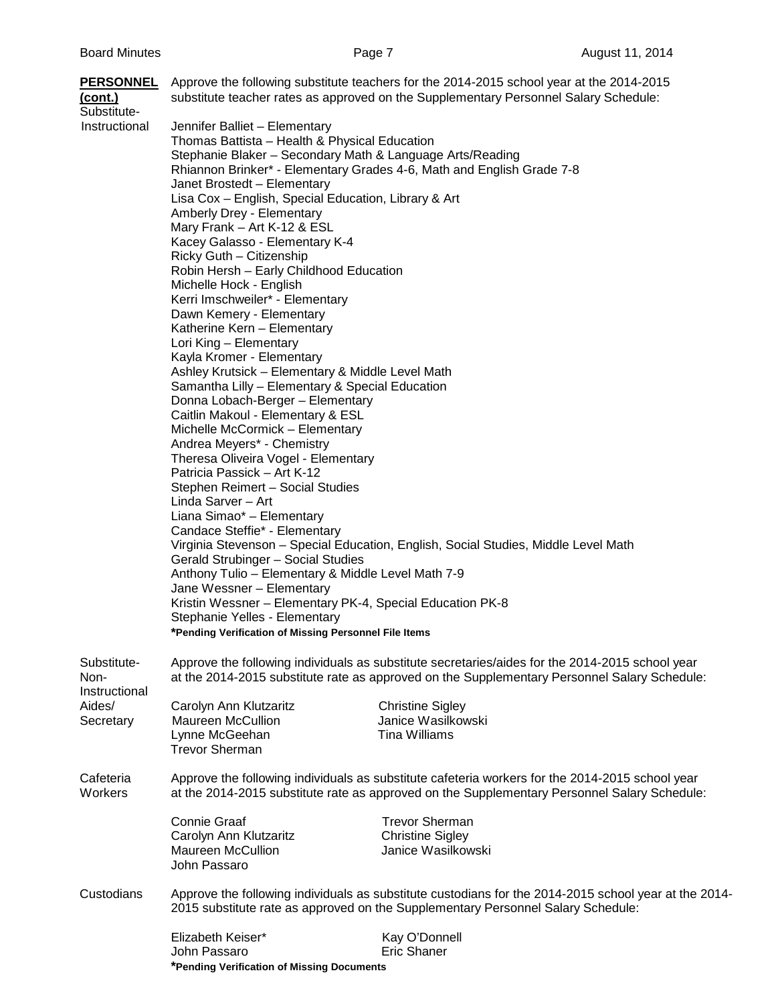| <u>(cont.)</u><br>Substitute-        | <b>PERSONNEL</b> Approve the following substitute teachers for the 2014-2015 school year at the 2014-2015<br>substitute teacher rates as approved on the Supplementary Personnel Salary Schedule:                                                                                                                                                                                                                                                                                                                                                                                                                                                                                                                                                                                                                                                                                                                                                                                                                                                                                                                                                                                                                                                                                                                                                                                                                                                                                     |
|--------------------------------------|---------------------------------------------------------------------------------------------------------------------------------------------------------------------------------------------------------------------------------------------------------------------------------------------------------------------------------------------------------------------------------------------------------------------------------------------------------------------------------------------------------------------------------------------------------------------------------------------------------------------------------------------------------------------------------------------------------------------------------------------------------------------------------------------------------------------------------------------------------------------------------------------------------------------------------------------------------------------------------------------------------------------------------------------------------------------------------------------------------------------------------------------------------------------------------------------------------------------------------------------------------------------------------------------------------------------------------------------------------------------------------------------------------------------------------------------------------------------------------------|
| Instructional                        | Jennifer Balliet - Elementary<br>Thomas Battista - Health & Physical Education<br>Stephanie Blaker - Secondary Math & Language Arts/Reading<br>Rhiannon Brinker* - Elementary Grades 4-6, Math and English Grade 7-8<br>Janet Brostedt - Elementary<br>Lisa Cox - English, Special Education, Library & Art<br>Amberly Drey - Elementary<br>Mary Frank - Art K-12 & ESL<br>Kacey Galasso - Elementary K-4<br>Ricky Guth - Citizenship<br>Robin Hersh - Early Childhood Education<br>Michelle Hock - English<br>Kerri Imschweiler* - Elementary<br>Dawn Kemery - Elementary<br>Katherine Kern - Elementary<br>Lori King - Elementary<br>Kayla Kromer - Elementary<br>Ashley Krutsick - Elementary & Middle Level Math<br>Samantha Lilly - Elementary & Special Education<br>Donna Lobach-Berger - Elementary<br>Caitlin Makoul - Elementary & ESL<br>Michelle McCormick - Elementary<br>Andrea Meyers* - Chemistry<br>Theresa Oliveira Vogel - Elementary<br>Patricia Passick - Art K-12<br>Stephen Reimert - Social Studies<br>Linda Sarver - Art<br>Liana Simao* - Elementary<br>Candace Steffie* - Elementary<br>Virginia Stevenson - Special Education, English, Social Studies, Middle Level Math<br>Gerald Strubinger - Social Studies<br>Anthony Tulio - Elementary & Middle Level Math 7-9<br>Jane Wessner - Elementary<br>Kristin Wessner - Elementary PK-4, Special Education PK-8<br>Stephanie Yelles - Elementary<br>*Pending Verification of Missing Personnel File Items |
| Substitute-<br>Non-<br>Instructional | Approve the following individuals as substitute secretaries/aides for the 2014-2015 school year<br>at the 2014-2015 substitute rate as approved on the Supplementary Personnel Salary Schedule:                                                                                                                                                                                                                                                                                                                                                                                                                                                                                                                                                                                                                                                                                                                                                                                                                                                                                                                                                                                                                                                                                                                                                                                                                                                                                       |
| Aides/<br>Secretary                  | Carolyn Ann Klutzaritz<br><b>Christine Sigley</b><br>Janice Wasilkowski<br><b>Maureen McCullion</b><br>Lynne McGeehan<br><b>Tina Williams</b><br><b>Trevor Sherman</b>                                                                                                                                                                                                                                                                                                                                                                                                                                                                                                                                                                                                                                                                                                                                                                                                                                                                                                                                                                                                                                                                                                                                                                                                                                                                                                                |
| Cafeteria<br>Workers                 | Approve the following individuals as substitute cafeteria workers for the 2014-2015 school year<br>at the 2014-2015 substitute rate as approved on the Supplementary Personnel Salary Schedule:                                                                                                                                                                                                                                                                                                                                                                                                                                                                                                                                                                                                                                                                                                                                                                                                                                                                                                                                                                                                                                                                                                                                                                                                                                                                                       |
|                                      | <b>Trevor Sherman</b><br><b>Connie Graaf</b><br>Carolyn Ann Klutzaritz<br><b>Christine Sigley</b><br><b>Maureen McCullion</b><br>Janice Wasilkowski<br>John Passaro                                                                                                                                                                                                                                                                                                                                                                                                                                                                                                                                                                                                                                                                                                                                                                                                                                                                                                                                                                                                                                                                                                                                                                                                                                                                                                                   |
| Custodians                           | Approve the following individuals as substitute custodians for the 2014-2015 school year at the 2014-<br>2015 substitute rate as approved on the Supplementary Personnel Salary Schedule:                                                                                                                                                                                                                                                                                                                                                                                                                                                                                                                                                                                                                                                                                                                                                                                                                                                                                                                                                                                                                                                                                                                                                                                                                                                                                             |
|                                      | Elizabeth Keiser*<br>Kay O'Donnell<br><b>Eric Shaner</b><br>John Passaro<br>*Pending Verification of Missing Documents                                                                                                                                                                                                                                                                                                                                                                                                                                                                                                                                                                                                                                                                                                                                                                                                                                                                                                                                                                                                                                                                                                                                                                                                                                                                                                                                                                |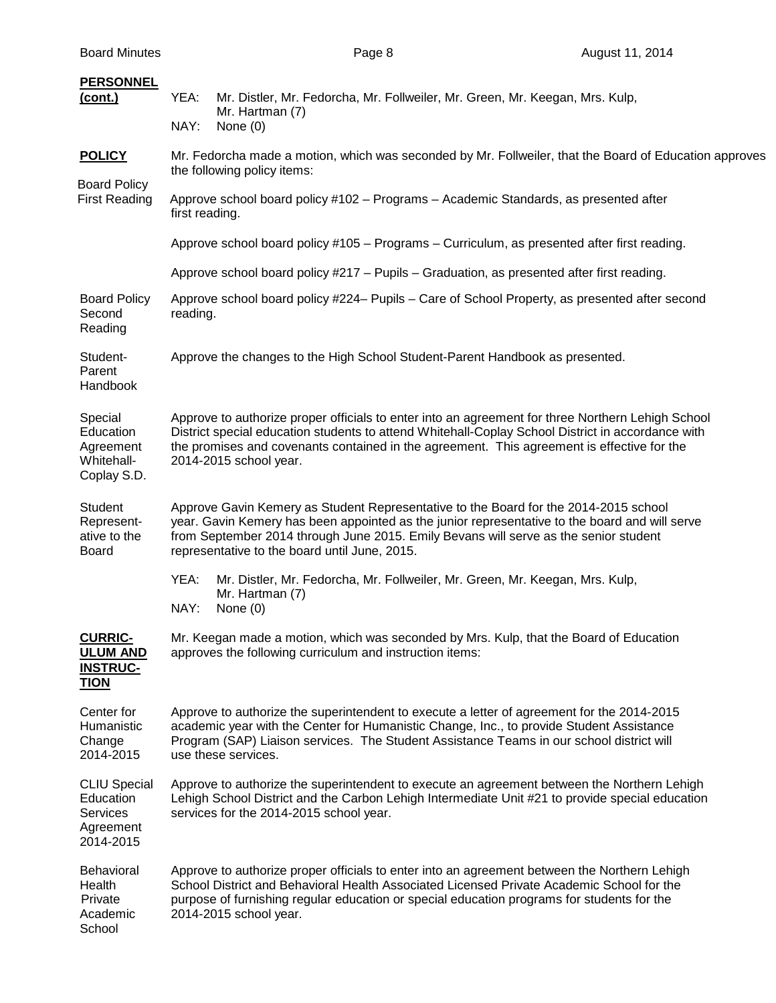| <b>Board Minutes</b> |
|----------------------|
|                      |

| <b>PERSONNEL</b><br><u>(cont.)</u>                                            | YEA:<br>Mr. Distler, Mr. Fedorcha, Mr. Follweiler, Mr. Green, Mr. Keegan, Mrs. Kulp,<br>Mr. Hartman (7)<br>NAY:<br>None $(0)$                                                                                                                                                                                                   |  |  |  |
|-------------------------------------------------------------------------------|---------------------------------------------------------------------------------------------------------------------------------------------------------------------------------------------------------------------------------------------------------------------------------------------------------------------------------|--|--|--|
| <b>POLICY</b>                                                                 | Mr. Fedorcha made a motion, which was seconded by Mr. Follweiler, that the Board of Education approves<br>the following policy items:                                                                                                                                                                                           |  |  |  |
| <b>Board Policy</b><br><b>First Reading</b>                                   | Approve school board policy #102 - Programs - Academic Standards, as presented after<br>first reading.                                                                                                                                                                                                                          |  |  |  |
|                                                                               | Approve school board policy #105 – Programs – Curriculum, as presented after first reading.                                                                                                                                                                                                                                     |  |  |  |
|                                                                               | Approve school board policy #217 - Pupils - Graduation, as presented after first reading.                                                                                                                                                                                                                                       |  |  |  |
| <b>Board Policy</b><br>Second<br>Reading                                      | Approve school board policy #224– Pupils – Care of School Property, as presented after second<br>reading.                                                                                                                                                                                                                       |  |  |  |
| Student-<br>Parent<br>Handbook                                                | Approve the changes to the High School Student-Parent Handbook as presented.                                                                                                                                                                                                                                                    |  |  |  |
| Special<br>Education<br>Agreement<br>Whitehall-<br>Coplay S.D.                | Approve to authorize proper officials to enter into an agreement for three Northern Lehigh School<br>District special education students to attend Whitehall-Coplay School District in accordance with<br>the promises and covenants contained in the agreement. This agreement is effective for the<br>2014-2015 school year.  |  |  |  |
| Student<br>Represent-<br>ative to the<br><b>Board</b>                         | Approve Gavin Kemery as Student Representative to the Board for the 2014-2015 school<br>year. Gavin Kemery has been appointed as the junior representative to the board and will serve<br>from September 2014 through June 2015. Emily Bevans will serve as the senior student<br>representative to the board until June, 2015. |  |  |  |
|                                                                               | YEA:<br>Mr. Distler, Mr. Fedorcha, Mr. Follweiler, Mr. Green, Mr. Keegan, Mrs. Kulp,<br>Mr. Hartman (7)<br>NAY:<br>None $(0)$                                                                                                                                                                                                   |  |  |  |
| <b>CURRIC-</b><br><b>ULUM AND</b><br><b>INSTRUC-</b><br><b>TION</b>           | Mr. Keegan made a motion, which was seconded by Mrs. Kulp, that the Board of Education<br>approves the following curriculum and instruction items:                                                                                                                                                                              |  |  |  |
| Center for<br>Humanistic<br>Change<br>2014-2015                               | Approve to authorize the superintendent to execute a letter of agreement for the 2014-2015<br>academic year with the Center for Humanistic Change, Inc., to provide Student Assistance<br>Program (SAP) Liaison services. The Student Assistance Teams in our school district will<br>use these services.                       |  |  |  |
| <b>CLIU Special</b><br>Education<br><b>Services</b><br>Agreement<br>2014-2015 | Approve to authorize the superintendent to execute an agreement between the Northern Lehigh<br>Lehigh School District and the Carbon Lehigh Intermediate Unit #21 to provide special education<br>services for the 2014-2015 school year.                                                                                       |  |  |  |
| <b>Behavioral</b><br>Health<br>Private<br>Academic<br>School                  | Approve to authorize proper officials to enter into an agreement between the Northern Lehigh<br>School District and Behavioral Health Associated Licensed Private Academic School for the<br>purpose of furnishing regular education or special education programs for students for the<br>2014-2015 school year.               |  |  |  |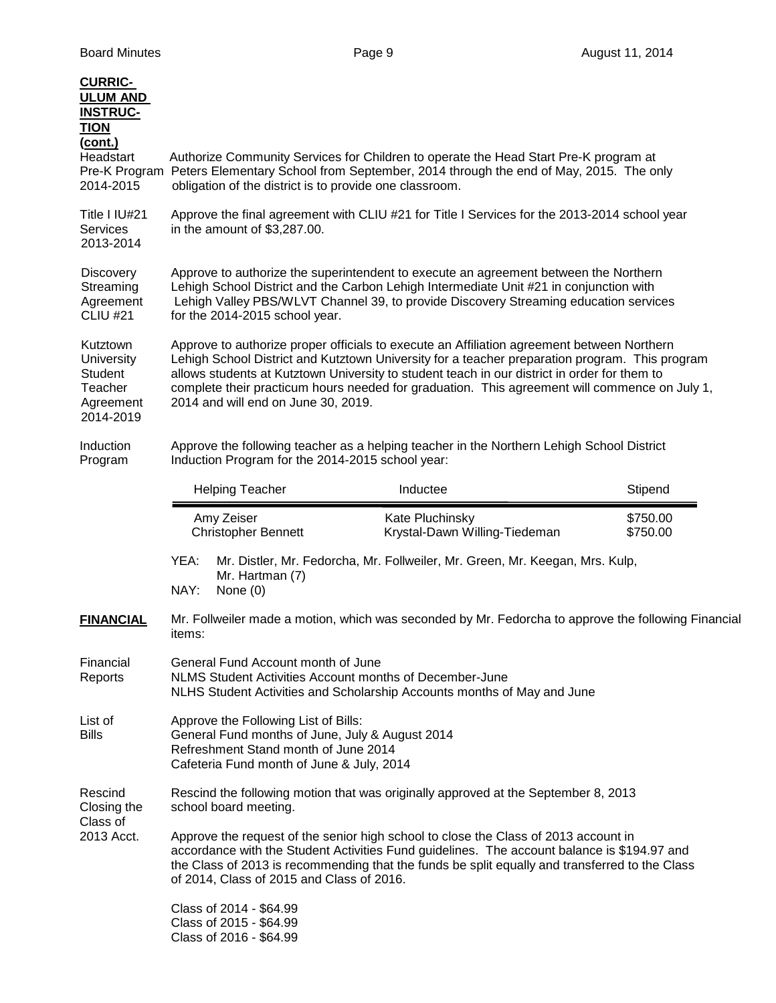| <b>CURRIC-</b><br><b>ULUM AND</b><br><b>INSTRUC-</b><br><b>TION</b><br>(cont.)<br>Headstart<br>Pre-K Program<br>2014-2015 |                                                                                                                                                                                                                                                                                                                                                                                                                                      |                                                                                                                                                                                                                                                                                                          | Authorize Community Services for Children to operate the Head Start Pre-K program at<br>Peters Elementary School from September, 2014 through the end of May, 2015. The only<br>obligation of the district is to provide one classroom. |                      |  |
|---------------------------------------------------------------------------------------------------------------------------|--------------------------------------------------------------------------------------------------------------------------------------------------------------------------------------------------------------------------------------------------------------------------------------------------------------------------------------------------------------------------------------------------------------------------------------|----------------------------------------------------------------------------------------------------------------------------------------------------------------------------------------------------------------------------------------------------------------------------------------------------------|-----------------------------------------------------------------------------------------------------------------------------------------------------------------------------------------------------------------------------------------|----------------------|--|
| Title I IU#21<br><b>Services</b><br>2013-2014                                                                             | Approve the final agreement with CLIU #21 for Title I Services for the 2013-2014 school year<br>in the amount of \$3,287.00.                                                                                                                                                                                                                                                                                                         |                                                                                                                                                                                                                                                                                                          |                                                                                                                                                                                                                                         |                      |  |
| <b>Discovery</b><br>Streaming<br>Agreement<br><b>CLIU #21</b>                                                             |                                                                                                                                                                                                                                                                                                                                                                                                                                      | Approve to authorize the superintendent to execute an agreement between the Northern<br>Lehigh School District and the Carbon Lehigh Intermediate Unit #21 in conjunction with<br>Lehigh Valley PBS/WLVT Channel 39, to provide Discovery Streaming education services<br>for the 2014-2015 school year. |                                                                                                                                                                                                                                         |                      |  |
| Kutztown<br><b>University</b><br>Student<br>Teacher<br>Agreement<br>2014-2019                                             | Approve to authorize proper officials to execute an Affiliation agreement between Northern<br>Lehigh School District and Kutztown University for a teacher preparation program. This program<br>allows students at Kutztown University to student teach in our district in order for them to<br>complete their practicum hours needed for graduation. This agreement will commence on July 1,<br>2014 and will end on June 30, 2019. |                                                                                                                                                                                                                                                                                                          |                                                                                                                                                                                                                                         |                      |  |
| Induction<br>Program                                                                                                      |                                                                                                                                                                                                                                                                                                                                                                                                                                      | Induction Program for the 2014-2015 school year:                                                                                                                                                                                                                                                         | Approve the following teacher as a helping teacher in the Northern Lehigh School District                                                                                                                                               |                      |  |
|                                                                                                                           |                                                                                                                                                                                                                                                                                                                                                                                                                                      | <b>Helping Teacher</b>                                                                                                                                                                                                                                                                                   | Inductee                                                                                                                                                                                                                                | Stipend              |  |
|                                                                                                                           |                                                                                                                                                                                                                                                                                                                                                                                                                                      | Amy Zeiser<br><b>Christopher Bennett</b>                                                                                                                                                                                                                                                                 | Kate Pluchinsky<br>Krystal-Dawn Willing-Tiedeman                                                                                                                                                                                        | \$750.00<br>\$750.00 |  |
|                                                                                                                           | YEA:<br>NAY:                                                                                                                                                                                                                                                                                                                                                                                                                         | Mr. Hartman (7)<br>None $(0)$                                                                                                                                                                                                                                                                            | Mr. Distler, Mr. Fedorcha, Mr. Follweiler, Mr. Green, Mr. Keegan, Mrs. Kulp,                                                                                                                                                            |                      |  |
| <b>FINANCIAL</b>                                                                                                          | items:                                                                                                                                                                                                                                                                                                                                                                                                                               |                                                                                                                                                                                                                                                                                                          | Mr. Follweiler made a motion, which was seconded by Mr. Fedorcha to approve the following Financial                                                                                                                                     |                      |  |
| Financial<br>Reports                                                                                                      | General Fund Account month of June<br>NLMS Student Activities Account months of December-June<br>NLHS Student Activities and Scholarship Accounts months of May and June                                                                                                                                                                                                                                                             |                                                                                                                                                                                                                                                                                                          |                                                                                                                                                                                                                                         |                      |  |
| List of<br><b>Bills</b>                                                                                                   | Approve the Following List of Bills:<br>General Fund months of June, July & August 2014<br>Refreshment Stand month of June 2014<br>Cafeteria Fund month of June & July, 2014                                                                                                                                                                                                                                                         |                                                                                                                                                                                                                                                                                                          |                                                                                                                                                                                                                                         |                      |  |
| Rescind<br>Closing the                                                                                                    | Rescind the following motion that was originally approved at the September 8, 2013<br>school board meeting.                                                                                                                                                                                                                                                                                                                          |                                                                                                                                                                                                                                                                                                          |                                                                                                                                                                                                                                         |                      |  |
| Class of<br>2013 Acct.                                                                                                    | Approve the request of the senior high school to close the Class of 2013 account in<br>accordance with the Student Activities Fund guidelines. The account balance is \$194.97 and<br>the Class of 2013 is recommending that the funds be split equally and transferred to the Class<br>of 2014, Class of 2015 and Class of 2016.                                                                                                    |                                                                                                                                                                                                                                                                                                          |                                                                                                                                                                                                                                         |                      |  |
|                                                                                                                           |                                                                                                                                                                                                                                                                                                                                                                                                                                      | Class of 2014 - \$64.99<br>Class of 2015 - \$64.99<br>Class of 2016 - \$64.99                                                                                                                                                                                                                            |                                                                                                                                                                                                                                         |                      |  |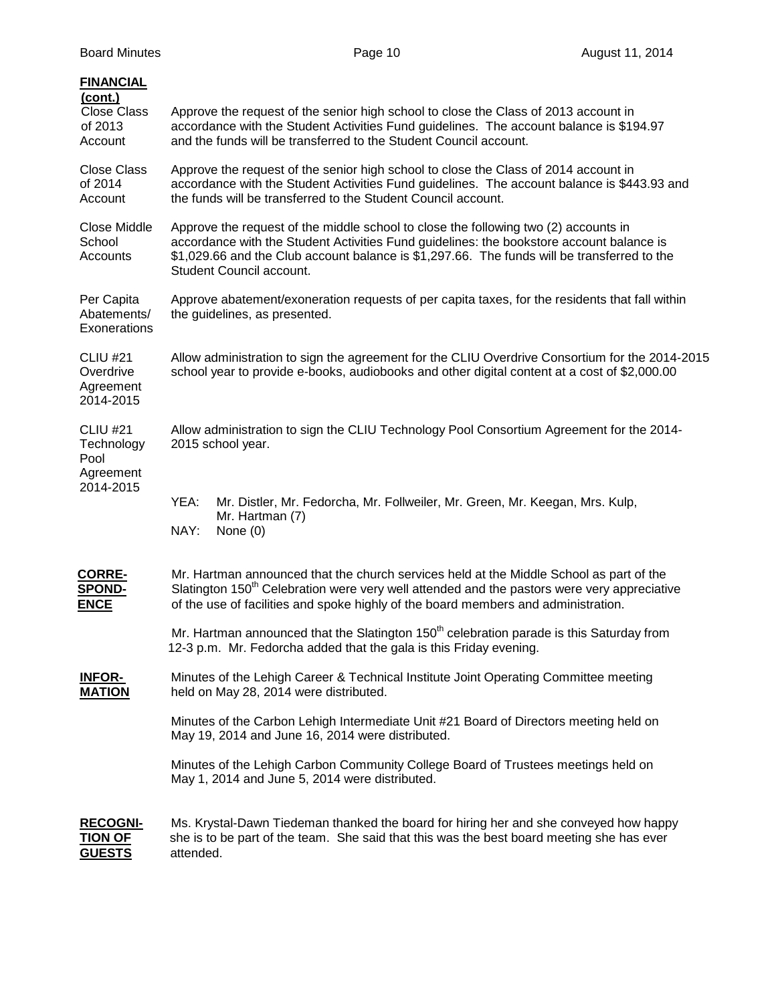| <b>FINANCIAL</b><br>(cont.)<br><b>Close Class</b><br>of 2013<br>Account | Approve the request of the senior high school to close the Class of 2013 account in<br>accordance with the Student Activities Fund guidelines. The account balance is \$194.97<br>and the funds will be transferred to the Student Council account.                                                        |
|-------------------------------------------------------------------------|------------------------------------------------------------------------------------------------------------------------------------------------------------------------------------------------------------------------------------------------------------------------------------------------------------|
| <b>Close Class</b><br>of 2014<br>Account                                | Approve the request of the senior high school to close the Class of 2014 account in<br>accordance with the Student Activities Fund guidelines. The account balance is \$443.93 and<br>the funds will be transferred to the Student Council account.                                                        |
| Close Middle<br>School<br>Accounts                                      | Approve the request of the middle school to close the following two (2) accounts in<br>accordance with the Student Activities Fund guidelines: the bookstore account balance is<br>\$1,029.66 and the Club account balance is \$1,297.66. The funds will be transferred to the<br>Student Council account. |
| Per Capita<br>Abatements/<br>Exonerations                               | Approve abatement/exoneration requests of per capita taxes, for the residents that fall within<br>the guidelines, as presented.                                                                                                                                                                            |
| <b>CLIU #21</b><br>Overdrive<br>Agreement<br>2014-2015                  | Allow administration to sign the agreement for the CLIU Overdrive Consortium for the 2014-2015<br>school year to provide e-books, audiobooks and other digital content at a cost of \$2,000.00                                                                                                             |
| <b>CLIU #21</b><br>Technology<br>Pool<br>Agreement                      | Allow administration to sign the CLIU Technology Pool Consortium Agreement for the 2014-<br>2015 school year.                                                                                                                                                                                              |
| 2014-2015                                                               | YEA:<br>Mr. Distler, Mr. Fedorcha, Mr. Follweiler, Mr. Green, Mr. Keegan, Mrs. Kulp,<br>Mr. Hartman (7)<br>NAY:<br>None $(0)$                                                                                                                                                                              |
| <u>CORRE-</u><br><b>SPOND-</b><br><b>ENCE</b>                           | Mr. Hartman announced that the church services held at the Middle School as part of the<br>Slatington 150 <sup>th</sup> Celebration were very well attended and the pastors were very appreciative<br>of the use of facilities and spoke highly of the board members and administration.                   |
|                                                                         | Mr. Hartman announced that the Slatington 150 <sup>th</sup> celebration parade is this Saturday from<br>12-3 p.m. Mr. Fedorcha added that the gala is this Friday evening.                                                                                                                                 |
| <b>INFOR-</b><br><b>MATION</b>                                          | Minutes of the Lehigh Career & Technical Institute Joint Operating Committee meeting<br>held on May 28, 2014 were distributed.                                                                                                                                                                             |
|                                                                         | Minutes of the Carbon Lehigh Intermediate Unit #21 Board of Directors meeting held on<br>May 19, 2014 and June 16, 2014 were distributed.                                                                                                                                                                  |
|                                                                         | Minutes of the Lehigh Carbon Community College Board of Trustees meetings held on<br>May 1, 2014 and June 5, 2014 were distributed.                                                                                                                                                                        |
| <b>RECOGNI-</b><br><u>TION OF</u><br><b>GUESTS</b>                      | Ms. Krystal-Dawn Tiedeman thanked the board for hiring her and she conveyed how happy<br>she is to be part of the team. She said that this was the best board meeting she has ever<br>attended.                                                                                                            |